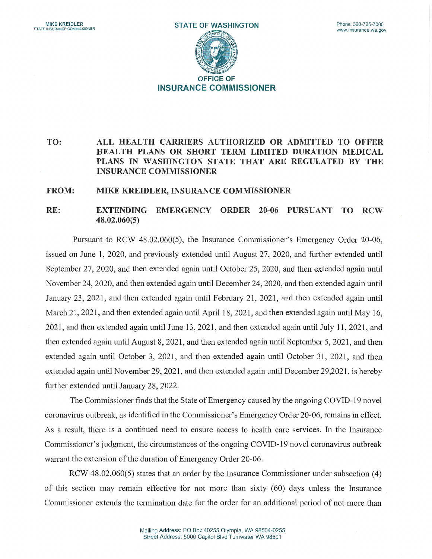

## TO: ALL HEALTH CARRIERS AUTHORIZED OR ADMITTED TO OFFER HEALTH PLANS OR SHORT TERM LIMITED DURATION MEDICAL PLANS IN WASHINGTON STATE THAT ARE REGULATED BY THE INSURANCE COMMISSIONER

## FROM: MIKE KREIDLER, INSURANCE COMMISSIONER

## RE: EXTENDING EMERGENCY ORDER 20-06 PURSUANT TO RCW 48.02.060(5)

Pursuant to RCW 48.02.060(5), the Insurance Commissioner's Emergency Order 20-06, issued on June 1, 2020, and previously extended until August 27, 2020, and further extended until September 27, 2020, and then extended again until October 25, 2020, and then extended again until November 24, 2020, and then extended again until December 24, 2020, and then extended again until January 23, 2021, and then extended again until February 21, 2021, and then extended again until March 21, 2021, and then extended again until April 18, 2021, and then extended again until May 16, 2021, and then extended again until June 13, 2021, and then extended again until July 11, 2021, and then extended again until August 8, 2021, and then extended again until September 5, 2021, and then extended again until October 3, 2021, and then extended again until October 31, 2021, and then extended again until November 29, 2021, and then extended again until December 29,2021, is hereby further extended until January 28, 2022.

The Commissioner finds that the State of Emergency caused by the ongoing COVID-19 novel coronavirus outbreak, as identified in the Commissioner's Emergency Order 20-06, remains in effect. As a result, there is a continued need to ensure access to health care services. In the Insurance Commissioner's judgment, the circumstances of the ongoing COVID-19 novel coronavirus outbreak warrant the extension of the duration of Emergency Order 20-06.

RCW 48.02.060(5) states that an order by the Insurance Commissioner under subsection (4) of this section may remain effective for not more than sixty (60) days unless the Insurance Commissioner extends the termination date for the order for an additional period of not more than